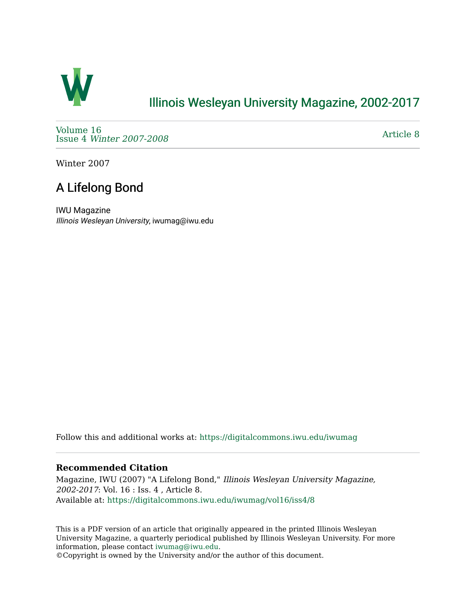

## [Illinois Wesleyan University Magazine, 2002-2017](https://digitalcommons.iwu.edu/iwumag)

[Volume 16](https://digitalcommons.iwu.edu/iwumag/vol16)  Issue 4 [Winter 2007-2008](https://digitalcommons.iwu.edu/iwumag/vol16/iss4)

[Article 8](https://digitalcommons.iwu.edu/iwumag/vol16/iss4/8) 

Winter 2007

## A Lifelong Bond

IWU Magazine Illinois Wesleyan University, iwumag@iwu.edu

Follow this and additional works at: [https://digitalcommons.iwu.edu/iwumag](https://digitalcommons.iwu.edu/iwumag?utm_source=digitalcommons.iwu.edu%2Fiwumag%2Fvol16%2Fiss4%2F8&utm_medium=PDF&utm_campaign=PDFCoverPages) 

#### **Recommended Citation**

Magazine, IWU (2007) "A Lifelong Bond," Illinois Wesleyan University Magazine, 2002-2017: Vol. 16 : Iss. 4 , Article 8. Available at: [https://digitalcommons.iwu.edu/iwumag/vol16/iss4/8](https://digitalcommons.iwu.edu/iwumag/vol16/iss4/8?utm_source=digitalcommons.iwu.edu%2Fiwumag%2Fvol16%2Fiss4%2F8&utm_medium=PDF&utm_campaign=PDFCoverPages)

This is a PDF version of an article that originally appeared in the printed Illinois Wesleyan University Magazine, a quarterly periodical published by Illinois Wesleyan University. For more information, please contact [iwumag@iwu.edu](mailto:iwumag@iwu.edu).

©Copyright is owned by the University and/or the author of this document.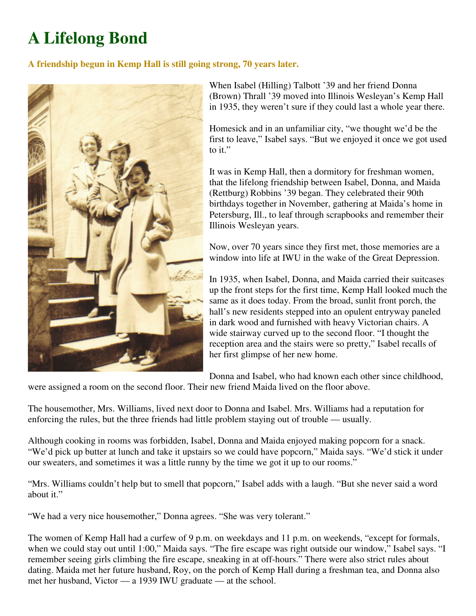# **A Lifelong Bond**

### **A friendship begun in Kemp Hall is still going strong, 70 years later.**



When Isabel (Hilling) Talbott '39 and her friend Donna (Brown) Thrall '39 moved into Illinois Wesleyan's Kemp Hall in 1935, they weren't sure if they could last a whole year there.

Homesick and in an unfamiliar city, "we thought we'd be the first to leave," Isabel says. "But we enjoyed it once we got used to it."

It was in Kemp Hall, then a dormitory for freshman women, that the lifelong friendship between Isabel, Donna, and Maida (Rettburg) Robbins '39 began. They celebrated their 90th birthdays together in November, gathering at Maida's home in Petersburg, Ill., to leaf through scrapbooks and remember their Illinois Wesleyan years.

Now, over 70 years since they first met, those memories are a window into life at IWU in the wake of the Great Depression.

In 1935, when Isabel, Donna, and Maida carried their suitcases up the front steps for the first time, Kemp Hall looked much the same as it does today. From the broad, sunlit front porch, the hall's new residents stepped into an opulent entryway paneled in dark wood and furnished with heavy Victorian chairs. A wide stairway curved up to the second floor. "I thought the reception area and the stairs were so pretty," Isabel recalls of her first glimpse of her new home.

Donna and Isabel, who had known each other since childhood,

were assigned a room on the second floor. Their new friend Maida lived on the floor above.

The housemother, Mrs. Williams, lived next door to Donna and Isabel. Mrs. Williams had a reputation for enforcing the rules, but the three friends had little problem staying out of trouble — usually.

Although cooking in rooms was forbidden, Isabel, Donna and Maida enjoyed making popcorn for a snack. "We'd pick up butter at lunch and take it upstairs so we could have popcorn," Maida says. "We'd stick it under our sweaters, and sometimes it was a little runny by the time we got it up to our rooms."

"Mrs. Williams couldn't help but to smell that popcorn," Isabel adds with a laugh. "But she never said a word about it."

"We had a very nice housemother," Donna agrees. "She was very tolerant."

The women of Kemp Hall had a curfew of 9 p.m. on weekdays and 11 p.m. on weekends, "except for formals, when we could stay out until 1:00," Maida says. "The fire escape was right outside our window," Isabel says. "I remember seeing girls climbing the fire escape, sneaking in at off-hours." There were also strict rules about dating. Maida met her future husband, Roy, on the porch of Kemp Hall during a freshman tea, and Donna also met her husband, Victor — a 1939 IWU graduate — at the school.